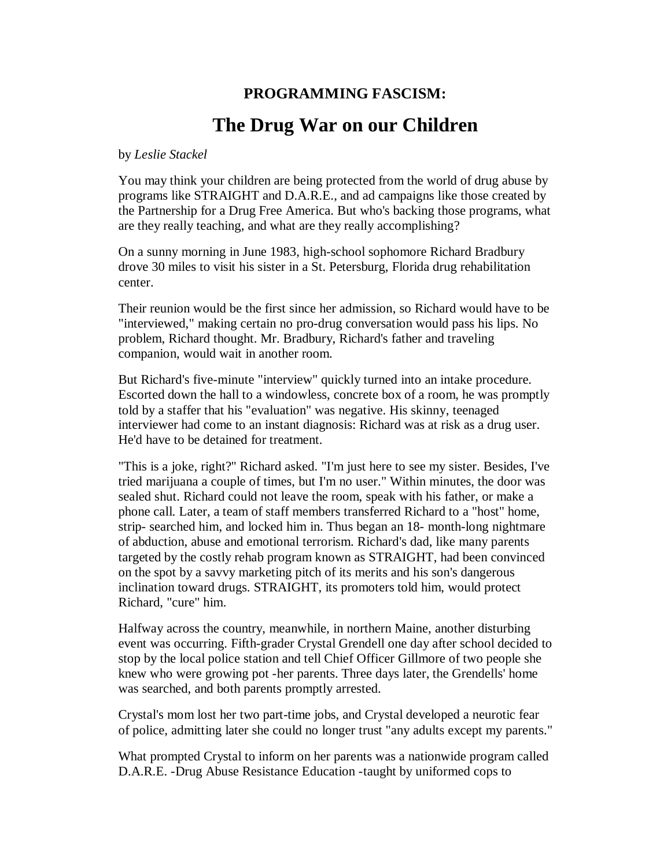## **PROGRAMMING FASCISM: The Drug War on our Children**

## by *Leslie Stackel*

You may think your children are being protected from the world of drug abuse by programs like STRAIGHT and D.A.R.E., and ad campaigns like those created by the Partnership for a Drug Free America. But who's backing those programs, what are they really teaching, and what are they really accomplishing?

On a sunny morning in June 1983, high-school sophomore Richard Bradbury drove 30 miles to visit his sister in a St. Petersburg, Florida drug rehabilitation center.

Their reunion would be the first since her admission, so Richard would have to be "interviewed," making certain no pro-drug conversation would pass his lips. No problem, Richard thought. Mr. Bradbury, Richard's father and traveling companion, would wait in another room.

But Richard's five-minute "interview" quickly turned into an intake procedure. Escorted down the hall to a windowless, concrete box of a room, he was promptly told by a staffer that his "evaluation" was negative. His skinny, teenaged interviewer had come to an instant diagnosis: Richard was at risk as a drug user. He'd have to be detained for treatment.

"This is a joke, right?" Richard asked. "I'm just here to see my sister. Besides, I've tried marijuana a couple of times, but I'm no user." Within minutes, the door was sealed shut. Richard could not leave the room, speak with his father, or make a phone call. Later, a team of staff members transferred Richard to a "host" home, strip- searched him, and locked him in. Thus began an 18- month-long nightmare of abduction, abuse and emotional terrorism. Richard's dad, like many parents targeted by the costly rehab program known as STRAIGHT, had been convinced on the spot by a savvy marketing pitch of its merits and his son's dangerous inclination toward drugs. STRAIGHT, its promoters told him, would protect Richard, "cure" him.

Halfway across the country, meanwhile, in northern Maine, another disturbing event was occurring. Fifth-grader Crystal Grendell one day after school decided to stop by the local police station and tell Chief Officer Gillmore of two people she knew who were growing pot - her parents. Three days later, the Grendells' home was searched, and both parents promptly arrested.

Crystal's mom lost her two part-time jobs, and Crystal developed a neurotic fear of police, admitting later she could no longer trust "any adults except my parents."

What prompted Crystal to inform on her parents was a nationwide program called D.A.R.E. - Drug Abuse Resistance Education - taught by uniformed cops to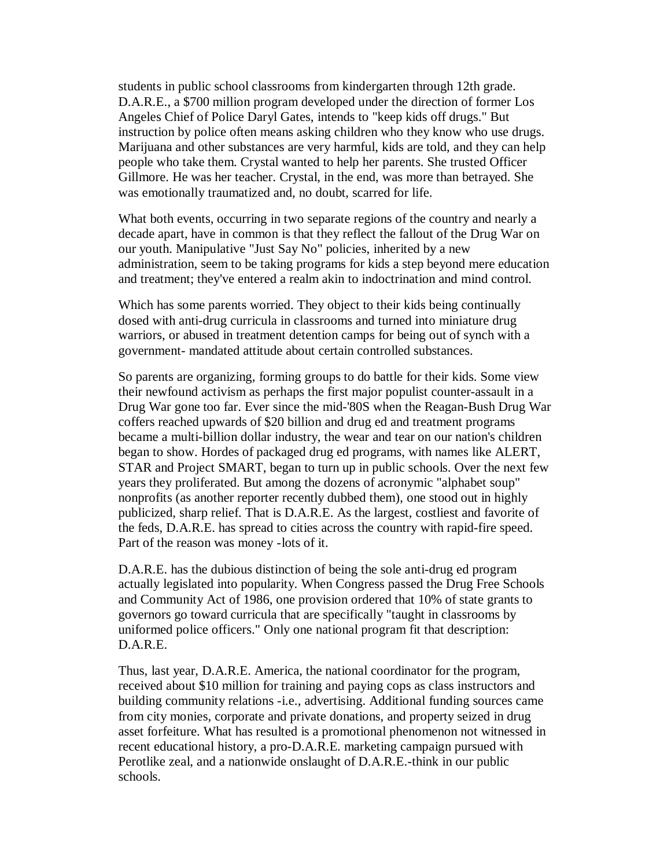students in public school classrooms from kindergarten through 12th grade. D.A.R.E., a \$700 million program developed under the direction of former Los Angeles Chief of Police Daryl Gates, intends to "keep kids off drugs." But instruction by police often means asking children who they know who use drugs. Marijuana and other substances are very harmful, kids are told, and they can help people who take them. Crystal wanted to help her parents. She trusted Officer Gillmore. He was her teacher. Crystal, in the end, was more than betrayed. She was emotionally traumatized and, no doubt, scarred for life.

What both events, occurring in two separate regions of the country and nearly a decade apart, have in common is that they reflect the fallout of the Drug War on our youth. Manipulative "Just Say No" policies, inherited by a new administration, seem to be taking programs for kids a step beyond mere education and treatment; they've entered a realm akin to indoctrination and mind control.

Which has some parents worried. They object to their kids being continually dosed with anti-drug curricula in classrooms and turned into miniature drug warriors, or abused in treatment detention camps for being out of synch with a government- mandated attitude about certain controlled substances.

So parents are organizing, forming groups to do battle for their kids. Some view their newfound activism as perhaps the first major populist counter-assault in a Drug War gone too far. Ever since the mid-'80S when the Reagan-Bush Drug War coffers reached upwards of \$20 billion and drug ed and treatment programs became a multi-billion dollar industry, the wear and tear on our nation's children began to show. Hordes of packaged drug ed programs, with names like ALERT, STAR and Project SMART, began to turn up in public schools. Over the next few years they proliferated. But among the dozens of acronymic "alphabet soup" nonprofits (as another reporter recently dubbed them), one stood out in highly publicized, sharp relief. That is D.A.R.E. As the largest, costliest and favorite of the feds, D.A.R.E. has spread to cities across the country with rapid-fire speed. Part of the reason was money - lots of it.

D.A.R.E. has the dubious distinction of being the sole anti-drug ed program actually legislated into popularity. When Congress passed the Drug Free Schools and Community Act of 1986, one provision ordered that 10% of state grants to governors go toward curricula that are specifically "taught in classrooms by uniformed police officers." Only one national program fit that description: D.A.R.E.

Thus, last year, D.A.R.E. America, the national coordinator for the program, received about \$10 million for training and paying cops as class instructors and building community relations -i.e., advertising. Additional funding sources came from city monies, corporate and private donations, and property seized in drug asset forfeiture. What has resulted is a promotional phenomenon not witnessed in recent educational history, a pro-D.A.R.E. marketing campaign pursued with Perotlike zeal, and a nationwide onslaught of D.A.R.E.-think in our public schools.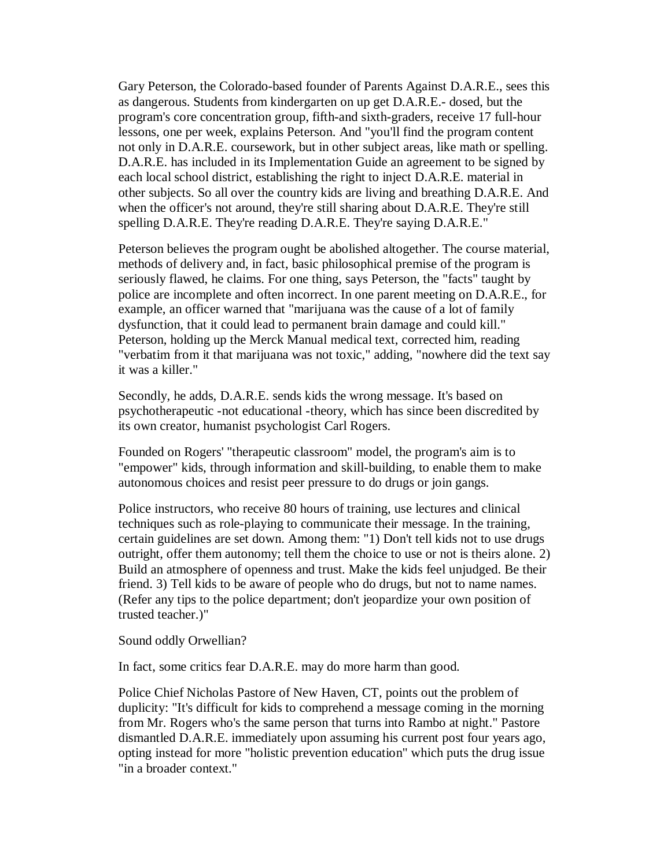Gary Peterson, the Colorado-based founder of Parents Against D.A.R.E., sees this as dangerous. Students from kindergarten on up get D.A.R.E.- dosed, but the program's core concentration group, fifth-and sixth-graders, receive 17 full-hour lessons, one per week, explains Peterson. And "you'll find the program content not only in D.A.R.E. coursework, but in other subject areas, like math or spelling. D.A.R.E. has included in its Implementation Guide an agreement to be signed by each local school district, establishing the right to inject D.A.R.E. material in other subjects. So all over the country kids are living and breathing D.A.R.E. And when the officer's not around, they're still sharing about D.A.R.E. They're still spelling D.A.R.E. They're reading D.A.R.E. They're saying D.A.R.E."

Peterson believes the program ought be abolished altogether. The course material, methods of delivery and, in fact, basic philosophical premise of the program is seriously flawed, he claims. For one thing, says Peterson, the "facts" taught by police are incomplete and often incorrect. In one parent meeting on D.A.R.E., for example, an officer warned that "marijuana was the cause of a lot of family dysfunction, that it could lead to permanent brain damage and could kill." Peterson, holding up the Merck Manual medical text, corrected him, reading "verbatim from it that marijuana was not toxic," adding, "nowhere did the text say it was a killer."

Secondly, he adds, D.A.R.E. sends kids the wrong message. It's based on psychotherapeutic - not educational - theory, which has since been discredited by its own creator, humanist psychologist Carl Rogers.

Founded on Rogers' "therapeutic classroom" model, the program's aim is to "empower" kids, through information and skill-building, to enable them to make autonomous choices and resist peer pressure to do drugs or join gangs.

Police instructors, who receive 80 hours of training, use lectures and clinical techniques such as role-playing to communicate their message. In the training, certain guidelines are set down. Among them: "1) Don't tell kids not to use drugs outright, offer them autonomy; tell them the choice to use or not is theirs alone. 2) Build an atmosphere of openness and trust. Make the kids feel unjudged. Be their friend. 3) Tell kids to be aware of people who do drugs, but not to name names. (Refer any tips to the police department; don't jeopardize your own position of trusted teacher.)"

Sound oddly Orwellian?

In fact, some critics fear D.A.R.E. may do more harm than good.

Police Chief Nicholas Pastore of New Haven, CT, points out the problem of duplicity: "It's difficult for kids to comprehend a message coming in the morning from Mr. Rogers who's the same person that turns into Rambo at night." Pastore dismantled D.A.R.E. immediately upon assuming his current post four years ago, opting instead for more "holistic prevention education" which puts the drug issue "in a broader context."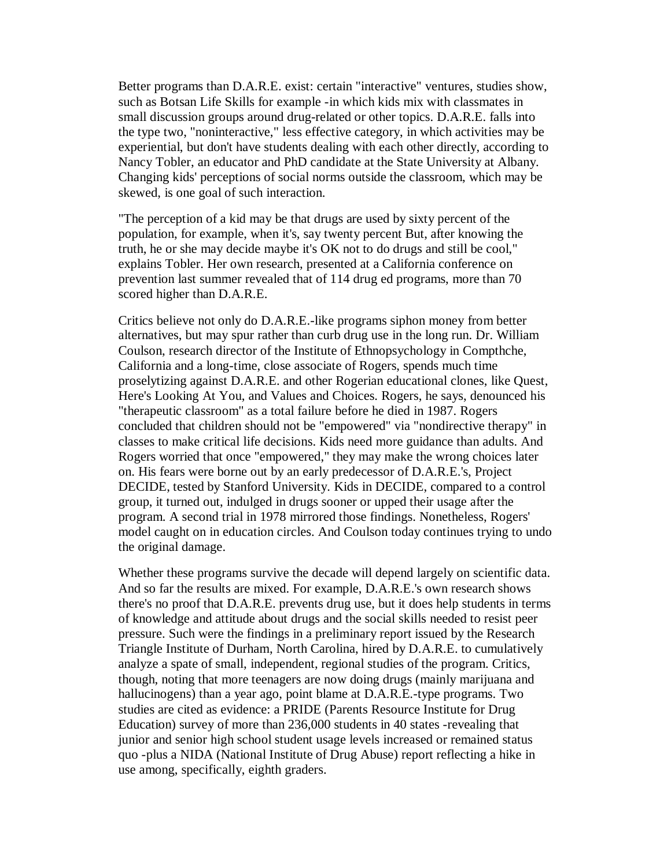Better programs than D.A.R.E. exist: certain "interactive" ventures, studies show, such as Botsan Life Skills for example - in which kids mix with classmates in small discussion groups around drug-related or other topics. D.A.R.E. falls into the type two, "noninteractive," less effective category, in which activities may be experiential, but don't have students dealing with each other directly, according to Nancy Tobler, an educator and PhD candidate at the State University at Albany. Changing kids' perceptions of social norms outside the classroom, which may be skewed, is one goal of such interaction.

"The perception of a kid may be that drugs are used by sixty percent of the population, for example, when it's, say twenty percent But, after knowing the truth, he or she may decide maybe it's OK not to do drugs and still be cool," explains Tobler. Her own research, presented at a California conference on prevention last summer revealed that of 114 drug ed programs, more than 70 scored higher than D.A.R.E.

Critics believe not only do D.A.R.E.-like programs siphon money from better alternatives, but may spur rather than curb drug use in the long run. Dr. William Coulson, research director of the Institute of Ethnopsychology in Compthche, California and a long-time, close associate of Rogers, spends much time proselytizing against D.A.R.E. and other Rogerian educational clones, like Quest, Here's Looking At You, and Values and Choices. Rogers, he says, denounced his "therapeutic classroom" as a total failure before he died in 1987. Rogers concluded that children should not be "empowered" via "nondirective therapy" in classes to make critical life decisions. Kids need more guidance than adults. And Rogers worried that once "empowered," they may make the wrong choices later on. His fears were borne out by an early predecessor of D.A.R.E.'s, Project DECIDE, tested by Stanford University. Kids in DECIDE, compared to a control group, it turned out, indulged in drugs sooner or upped their usage after the program. A second trial in 1978 mirrored those findings. Nonetheless, Rogers' model caught on in education circles. And Coulson today continues trying to undo the original damage.

Whether these programs survive the decade will depend largely on scientific data. And so far the results are mixed. For example, D.A.R.E.'s own research shows there's no proof that D.A.R.E. prevents drug use, but it does help students in terms of knowledge and attitude about drugs and the social skills needed to resist peer pressure. Such were the findings in a preliminary report issued by the Research Triangle Institute of Durham, North Carolina, hired by D.A.R.E. to cumulatively analyze a spate of small, independent, regional studies of the program. Critics, though, noting that more teenagers are now doing drugs (mainly marijuana and hallucinogens) than a year ago, point blame at D.A.R.E.-type programs. Two studies are cited as evidence: a PRIDE (Parents Resource Institute for Drug Education) survey of more than 236,000 students in 40 states - revealing that junior and senior high school student usage levels increased or remained status quo - plus a NIDA (National Institute of Drug Abuse) report reflecting a hike in use among, specifically, eighth graders.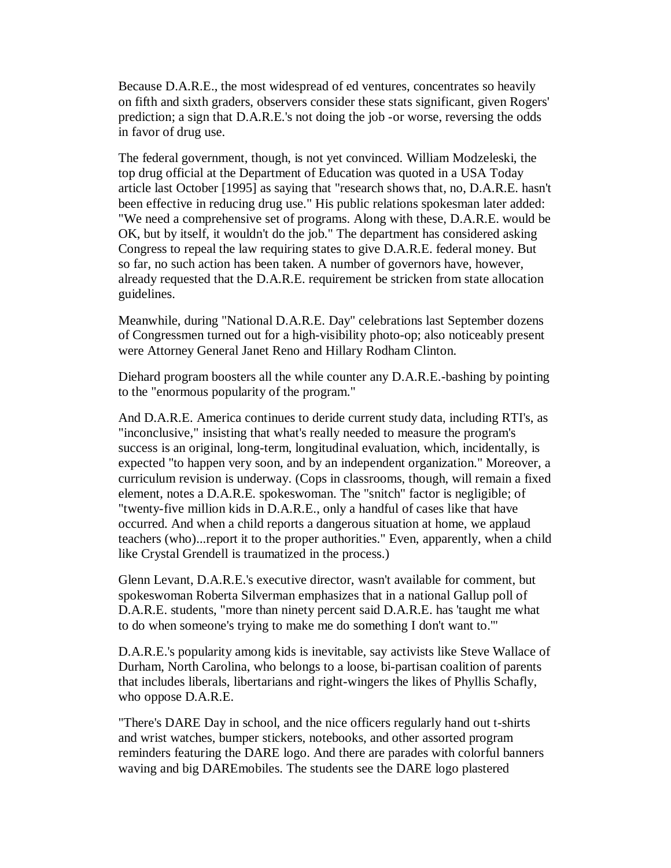Because D.A.R.E., the most widespread of ed ventures, concentrates so heavily on fifth and sixth graders, observers consider these stats significant, given Rogers' prediction; a sign that D.A.R.E.'s not doing the job - or worse, reversing the odds in favor of drug use.

The federal government, though, is not yet convinced. William Modzeleski, the top drug official at the Department of Education was quoted in a USA Today article last October [1995] as saying that "research shows that, no, D.A.R.E. hasn't been effective in reducing drug use." His public relations spokesman later added: "We need a comprehensive set of programs. Along with these, D.A.R.E. would be OK, but by itself, it wouldn't do the job." The department has considered asking Congress to repeal the law requiring states to give D.A.R.E. federal money. But so far, no such action has been taken. A number of governors have, however, already requested that the D.A.R.E. requirement be stricken from state allocation guidelines.

Meanwhile, during "National D.A.R.E. Day" celebrations last September dozens of Congressmen turned out for a high-visibility photo-op; also noticeably present were Attorney General Janet Reno and Hillary Rodham Clinton.

Diehard program boosters all the while counter any D.A.R.E.-bashing by pointing to the "enormous popularity of the program."

And D.A.R.E. America continues to deride current study data, including RTI's, as "inconclusive," insisting that what's really needed to measure the program's success is an original, long-term, longitudinal evaluation, which, incidentally, is expected "to happen very soon, and by an independent organization." Moreover, a curriculum revision is underway. (Cops in classrooms, though, will remain a fixed element, notes a D.A.R.E. spokeswoman. The "snitch" factor is negligible; of "twenty-five million kids in D.A.R.E., only a handful of cases like that have occurred. And when a child reports a dangerous situation at home, we applaud teachers (who)...report it to the proper authorities." Even, apparently, when a child like Crystal Grendell is traumatized in the process.)

Glenn Levant, D.A.R.E.'s executive director, wasn't available for comment, but spokeswoman Roberta Silverman emphasizes that in a national Gallup poll of D.A.R.E. students, "more than ninety percent said D.A.R.E. has 'taught me what to do when someone's trying to make me do something I don't want to.'"

D.A.R.E.'s popularity among kids is inevitable, say activists like Steve Wallace of Durham, North Carolina, who belongs to a loose, bi-partisan coalition of parents that includes liberals, libertarians and right-wingers the likes of Phyllis Schafly, who oppose D.A.R.E.

"There's DARE Day in school, and the nice officers regularly hand out t-shirts and wrist watches, bumper stickers, notebooks, and other assorted program reminders featuring the DARE logo. And there are parades with colorful banners waving and big DAREmobiles. The students see the DARE logo plastered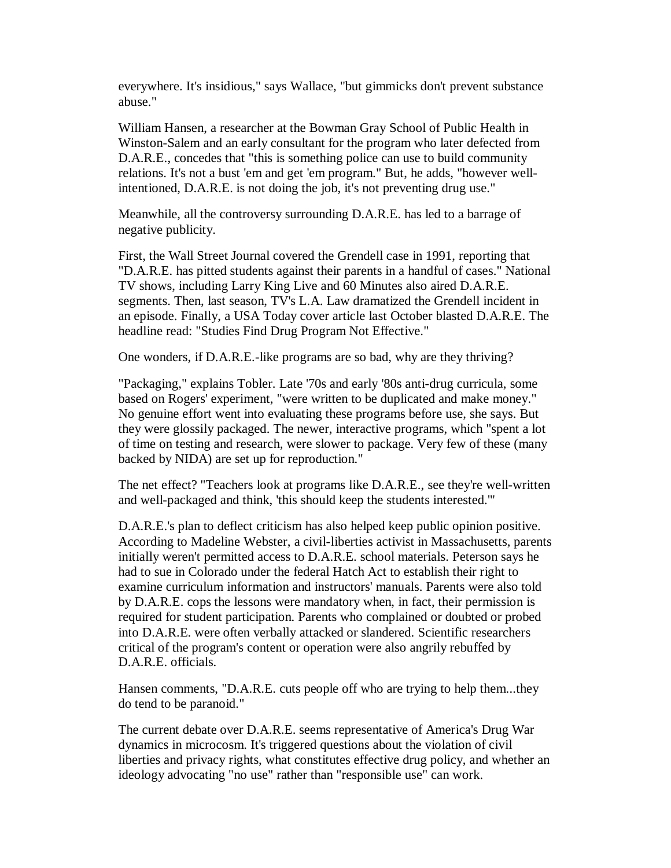everywhere. It's insidious," says Wallace, "but gimmicks don't prevent substance abuse."

William Hansen, a researcher at the Bowman Gray School of Public Health in Winston-Salem and an early consultant for the program who later defected from D.A.R.E., concedes that "this is something police can use to build community relations. It's not a bust 'em and get 'em program." But, he adds, "however wellintentioned, D.A.R.E. is not doing the job, it's not preventing drug use."

Meanwhile, all the controversy surrounding D.A.R.E. has led to a barrage of negative publicity.

First, the Wall Street Journal covered the Grendell case in 1991, reporting that "D.A.R.E. has pitted students against their parents in a handful of cases." National TV shows, including Larry King Live and 60 Minutes also aired D.A.R.E. segments. Then, last season, TV's L.A. Law dramatized the Grendell incident in an episode. Finally, a USA Today cover article last October blasted D.A.R.E. The headline read: "Studies Find Drug Program Not Effective."

One wonders, if D.A.R.E.-like programs are so bad, why are they thriving?

"Packaging," explains Tobler. Late '70s and early '80s anti-drug curricula, some based on Rogers' experiment, "were written to be duplicated and make money." No genuine effort went into evaluating these programs before use, she says. But they were glossily packaged. The newer, interactive programs, which "spent a lot of time on testing and research, were slower to package. Very few of these (many backed by NIDA) are set up for reproduction."

The net effect? "Teachers look at programs like D.A.R.E., see they're well-written and well-packaged and think, 'this should keep the students interested.'"

D.A.R.E.'s plan to deflect criticism has also helped keep public opinion positive. According to Madeline Webster, a civil-liberties activist in Massachusetts, parents initially weren't permitted access to D.A.R.E. school materials. Peterson says he had to sue in Colorado under the federal Hatch Act to establish their right to examine curriculum information and instructors' manuals. Parents were also told by D.A.R.E. cops the lessons were mandatory when, in fact, their permission is required for student participation. Parents who complained or doubted or probed into D.A.R.E. were often verbally attacked or slandered. Scientific researchers critical of the program's content or operation were also angrily rebuffed by D.A.R.E. officials.

Hansen comments, "D.A.R.E. cuts people off who are trying to help them...they do tend to be paranoid."

The current debate over D.A.R.E. seems representative of America's Drug War dynamics in microcosm. It's triggered questions about the violation of civil liberties and privacy rights, what constitutes effective drug policy, and whether an ideology advocating "no use" rather than "responsible use" can work.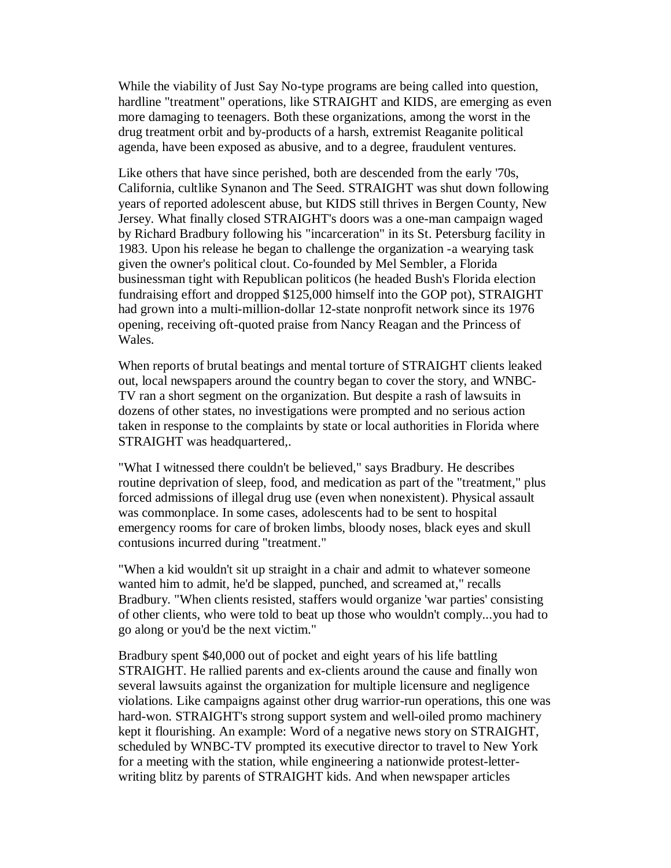While the viability of Just Say No-type programs are being called into question, hardline "treatment" operations, like STRAIGHT and KIDS, are emerging as even more damaging to teenagers. Both these organizations, among the worst in the drug treatment orbit and by-products of a harsh, extremist Reaganite political agenda, have been exposed as abusive, and to a degree, fraudulent ventures.

Like others that have since perished, both are descended from the early '70s, California, cultlike Synanon and The Seed. STRAIGHT was shut down following years of reported adolescent abuse, but KIDS still thrives in Bergen County, New Jersey. What finally closed STRAIGHT's doors was a one-man campaign waged by Richard Bradbury following his "incarceration" in its St. Petersburg facility in 1983. Upon his release he began to challenge the organization - a wearying task given the owner's political clout. Co-founded by Mel Sembler, a Florida businessman tight with Republican politicos (he headed Bush's Florida election fundraising effort and dropped \$125,000 himself into the GOP pot), STRAIGHT had grown into a multi-million-dollar 12-state nonprofit network since its 1976 opening, receiving oft-quoted praise from Nancy Reagan and the Princess of Wales.

When reports of brutal beatings and mental torture of STRAIGHT clients leaked out, local newspapers around the country began to cover the story, and WNBC-TV ran a short segment on the organization. But despite a rash of lawsuits in dozens of other states, no investigations were prompted and no serious action taken in response to the complaints by state or local authorities in Florida where STRAIGHT was headquartered,.

"What I witnessed there couldn't be believed," says Bradbury. He describes routine deprivation of sleep, food, and medication as part of the "treatment," plus forced admissions of illegal drug use (even when nonexistent). Physical assault was commonplace. In some cases, adolescents had to be sent to hospital emergency rooms for care of broken limbs, bloody noses, black eyes and skull contusions incurred during "treatment."

"When a kid wouldn't sit up straight in a chair and admit to whatever someone wanted him to admit, he'd be slapped, punched, and screamed at," recalls Bradbury. "When clients resisted, staffers would organize 'war parties' consisting of other clients, who were told to beat up those who wouldn't comply...you had to go along or you'd be the next victim."

Bradbury spent \$40,000 out of pocket and eight years of his life battling STRAIGHT. He rallied parents and ex-clients around the cause and finally won several lawsuits against the organization for multiple licensure and negligence violations. Like campaigns against other drug warrior-run operations, this one was hard-won. STRAIGHT's strong support system and well-oiled promo machinery kept it flourishing. An example: Word of a negative news story on STRAIGHT, scheduled by WNBC-TV prompted its executive director to travel to New York for a meeting with the station, while engineering a nationwide protest-letterwriting blitz by parents of STRAIGHT kids. And when newspaper articles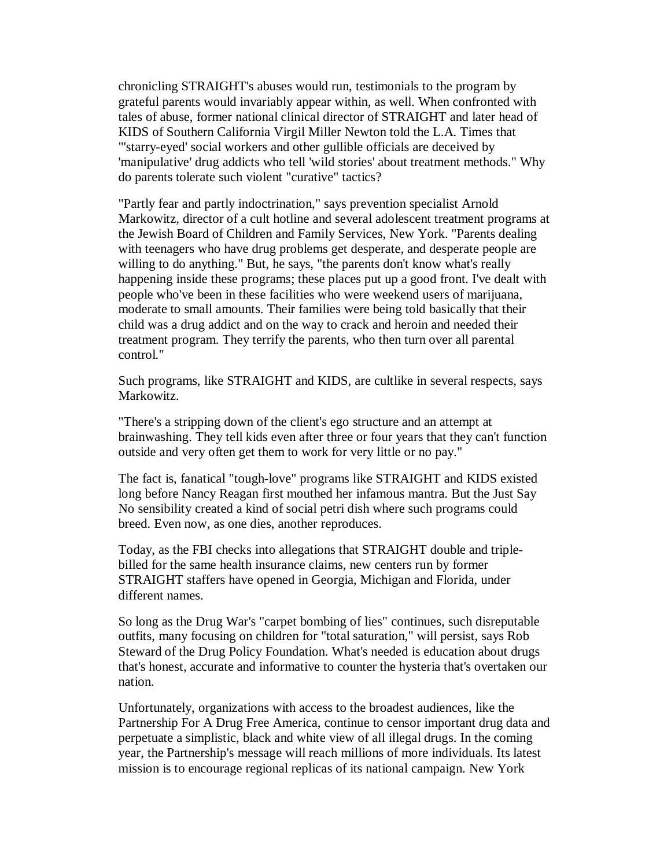chronicling STRAIGHT's abuses would run, testimonials to the program by grateful parents would invariably appear within, as well. When confronted with tales of abuse, former national clinical director of STRAIGHT and later head of KIDS of Southern California Virgil Miller Newton told the L.A. Times that "'starry-eyed' social workers and other gullible officials are deceived by 'manipulative' drug addicts who tell 'wild stories' about treatment methods." Why do parents tolerate such violent "curative" tactics?

"Partly fear and partly indoctrination," says prevention specialist Arnold Markowitz, director of a cult hotline and several adolescent treatment programs at the Jewish Board of Children and Family Services, New York. "Parents dealing with teenagers who have drug problems get desperate, and desperate people are willing to do anything." But, he says, "the parents don't know what's really happening inside these programs; these places put up a good front. I've dealt with people who've been in these facilities who were weekend users of marijuana, moderate to small amounts. Their families were being told basically that their child was a drug addict and on the way to crack and heroin and needed their treatment program. They terrify the parents, who then turn over all parental control."

Such programs, like STRAIGHT and KIDS, are cultlike in several respects, says Markowitz.

"There's a stripping down of the client's ego structure and an attempt at brainwashing. They tell kids even after three or four years that they can't function outside and very often get them to work for very little or no pay."

The fact is, fanatical "tough-love" programs like STRAIGHT and KIDS existed long before Nancy Reagan first mouthed her infamous mantra. But the Just Say No sensibility created a kind of social petri dish where such programs could breed. Even now, as one dies, another reproduces.

Today, as the FBI checks into allegations that STRAIGHT double and triplebilled for the same health insurance claims, new centers run by former STRAIGHT staffers have opened in Georgia, Michigan and Florida, under different names.

So long as the Drug War's "carpet bombing of lies" continues, such disreputable outfits, many focusing on children for "total saturation," will persist, says Rob Steward of the Drug Policy Foundation. What's needed is education about drugs that's honest, accurate and informative to counter the hysteria that's overtaken our nation.

Unfortunately, organizations with access to the broadest audiences, like the Partnership For A Drug Free America, continue to censor important drug data and perpetuate a simplistic, black and white view of all illegal drugs. In the coming year, the Partnership's message will reach millions of more individuals. Its latest mission is to encourage regional replicas of its national campaign. New York